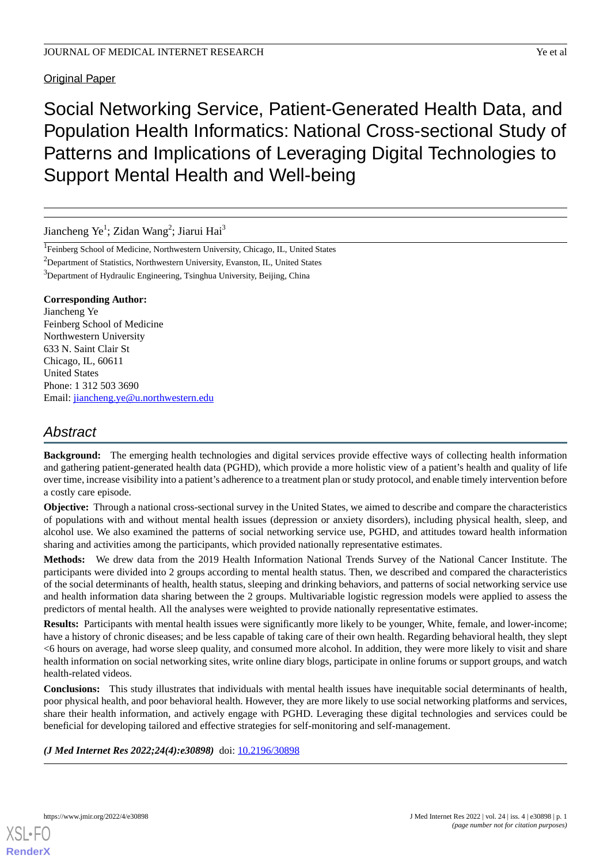Original Paper

Social Networking Service, Patient-Generated Health Data, and Population Health Informatics: National Cross-sectional Study of Patterns and Implications of Leveraging Digital Technologies to Support Mental Health and Well-being

Jiancheng Ye<sup>1</sup>; Zidan Wang<sup>2</sup>; Jiarui Hai<sup>3</sup>

<sup>1</sup>Feinberg School of Medicine, Northwestern University, Chicago, IL, United States

<sup>2</sup>Department of Statistics, Northwestern University, Evanston, IL, United States

<sup>3</sup>Department of Hydraulic Engineering, Tsinghua University, Beijing, China

#### **Corresponding Author:**

Jiancheng Ye Feinberg School of Medicine Northwestern University 633 N. Saint Clair St Chicago, IL, 60611 United States Phone: 1 312 503 3690 Email: [jiancheng.ye@u.northwestern.edu](mailto:jiancheng.ye@u.northwestern.edu)

# *Abstract*

**Background:** The emerging health technologies and digital services provide effective ways of collecting health information and gathering patient-generated health data (PGHD), which provide a more holistic view of a patient's health and quality of life over time, increase visibility into a patient's adherence to a treatment plan or study protocol, and enable timely intervention before a costly care episode.

**Objective:** Through a national cross-sectional survey in the United States, we aimed to describe and compare the characteristics of populations with and without mental health issues (depression or anxiety disorders), including physical health, sleep, and alcohol use. We also examined the patterns of social networking service use, PGHD, and attitudes toward health information sharing and activities among the participants, which provided nationally representative estimates.

**Methods:** We drew data from the 2019 Health Information National Trends Survey of the National Cancer Institute. The participants were divided into 2 groups according to mental health status. Then, we described and compared the characteristics of the social determinants of health, health status, sleeping and drinking behaviors, and patterns of social networking service use and health information data sharing between the 2 groups. Multivariable logistic regression models were applied to assess the predictors of mental health. All the analyses were weighted to provide nationally representative estimates.

**Results:** Participants with mental health issues were significantly more likely to be younger, White, female, and lower-income; have a history of chronic diseases; and be less capable of taking care of their own health. Regarding behavioral health, they slept <6 hours on average, had worse sleep quality, and consumed more alcohol. In addition, they were more likely to visit and share health information on social networking sites, write online diary blogs, participate in online forums or support groups, and watch health-related videos.

**Conclusions:** This study illustrates that individuals with mental health issues have inequitable social determinants of health, poor physical health, and poor behavioral health. However, they are more likely to use social networking platforms and services, share their health information, and actively engage with PGHD. Leveraging these digital technologies and services could be beneficial for developing tailored and effective strategies for self-monitoring and self-management.

*(J Med Internet Res 2022;24(4):e30898)* doi: [10.2196/30898](http://dx.doi.org/10.2196/30898)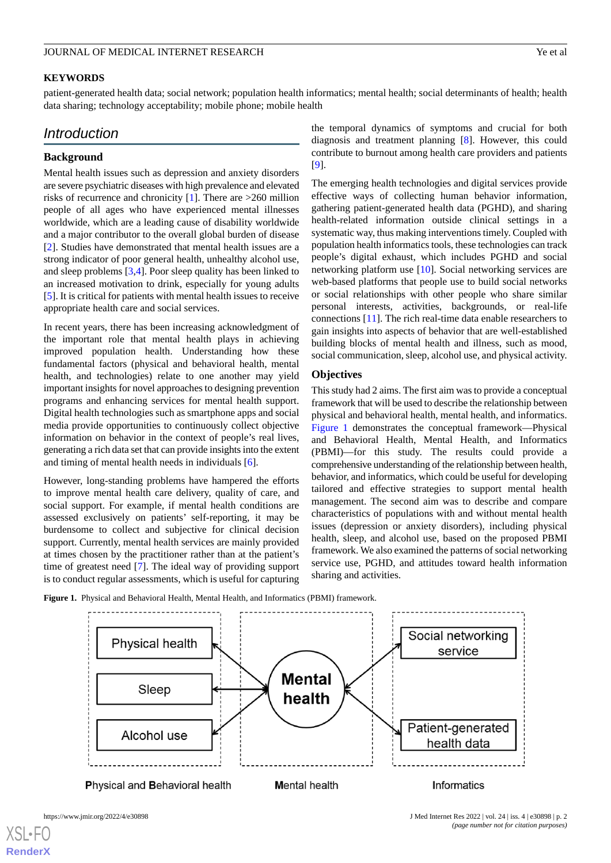#### **KEYWORDS**

patient-generated health data; social network; population health informatics; mental health; social determinants of health; health data sharing; technology acceptability; mobile phone; mobile health

## *Introduction*

## **Background**

Mental health issues such as depression and anxiety disorders are severe psychiatric diseases with high prevalence and elevated risks of recurrence and chronicity  $[1]$  $[1]$ . There are  $>260$  million people of all ages who have experienced mental illnesses worldwide, which are a leading cause of disability worldwide and a major contributor to the overall global burden of disease [[2\]](#page-10-1). Studies have demonstrated that mental health issues are a strong indicator of poor general health, unhealthy alcohol use, and sleep problems [\[3](#page-10-2)[,4\]](#page-10-3). Poor sleep quality has been linked to an increased motivation to drink, especially for young adults [[5\]](#page-10-4). It is critical for patients with mental health issues to receive appropriate health care and social services.

In recent years, there has been increasing acknowledgment of the important role that mental health plays in achieving improved population health. Understanding how these fundamental factors (physical and behavioral health, mental health, and technologies) relate to one another may yield important insights for novel approaches to designing prevention programs and enhancing services for mental health support. Digital health technologies such as smartphone apps and social media provide opportunities to continuously collect objective information on behavior in the context of people's real lives, generating a rich data set that can provide insights into the extent and timing of mental health needs in individuals [\[6](#page-10-5)].

<span id="page-1-0"></span>However, long-standing problems have hampered the efforts to improve mental health care delivery, quality of care, and social support. For example, if mental health conditions are assessed exclusively on patients' self-reporting, it may be burdensome to collect and subjective for clinical decision support. Currently, mental health services are mainly provided at times chosen by the practitioner rather than at the patient's time of greatest need [\[7](#page-10-6)]. The ideal way of providing support is to conduct regular assessments, which is useful for capturing

the temporal dynamics of symptoms and crucial for both diagnosis and treatment planning [\[8](#page-10-7)]. However, this could contribute to burnout among health care providers and patients [[9\]](#page-10-8).

The emerging health technologies and digital services provide effective ways of collecting human behavior information, gathering patient-generated health data (PGHD), and sharing health-related information outside clinical settings in a systematic way, thus making interventions timely. Coupled with population health informatics tools, these technologies can track people's digital exhaust, which includes PGHD and social networking platform use [[10\]](#page-10-9). Social networking services are web-based platforms that people use to build social networks or social relationships with other people who share similar personal interests, activities, backgrounds, or real-life connections [\[11](#page-10-10)]. The rich real-time data enable researchers to gain insights into aspects of behavior that are well-established building blocks of mental health and illness, such as mood, social communication, sleep, alcohol use, and physical activity.

## **Objectives**

This study had 2 aims. The first aim was to provide a conceptual framework that will be used to describe the relationship between physical and behavioral health, mental health, and informatics. [Figure 1](#page-1-0) demonstrates the conceptual framework—Physical and Behavioral Health, Mental Health, and Informatics (PBMI)—for this study. The results could provide a comprehensive understanding of the relationship between health, behavior, and informatics, which could be useful for developing tailored and effective strategies to support mental health management. The second aim was to describe and compare characteristics of populations with and without mental health issues (depression or anxiety disorders), including physical health, sleep, and alcohol use, based on the proposed PBMI framework. We also examined the patterns of social networking service use, PGHD, and attitudes toward health information sharing and activities.



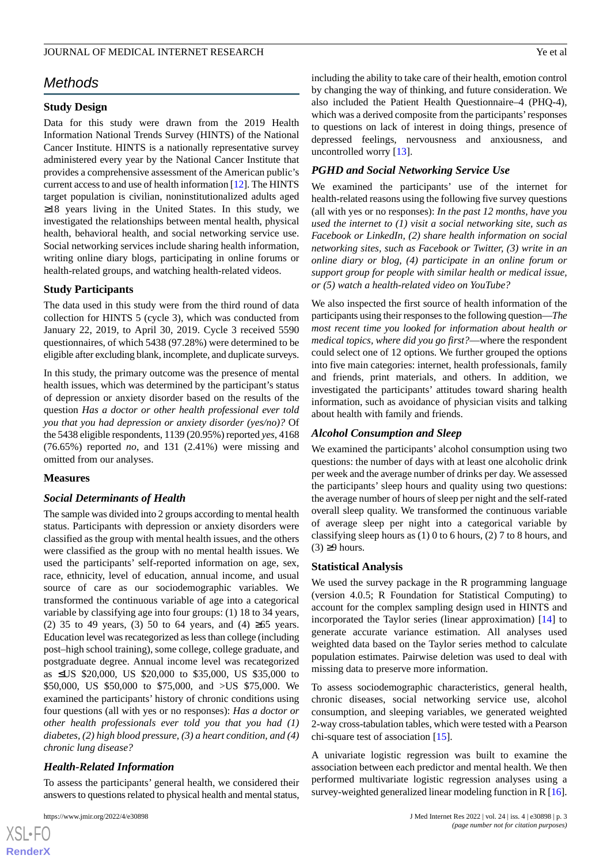## *Methods*

## **Study Design**

Data for this study were drawn from the 2019 Health Information National Trends Survey (HINTS) of the National Cancer Institute. HINTS is a nationally representative survey administered every year by the National Cancer Institute that provides a comprehensive assessment of the American public's current access to and use of health information [[12\]](#page-11-0). The HINTS target population is civilian, noninstitutionalized adults aged ≥18 years living in the United States. In this study, we investigated the relationships between mental health, physical health, behavioral health, and social networking service use. Social networking services include sharing health information, writing online diary blogs, participating in online forums or health-related groups, and watching health-related videos.

#### **Study Participants**

The data used in this study were from the third round of data collection for HINTS 5 (cycle 3), which was conducted from January 22, 2019, to April 30, 2019. Cycle 3 received 5590 questionnaires, of which 5438 (97.28%) were determined to be eligible after excluding blank, incomplete, and duplicate surveys.

In this study, the primary outcome was the presence of mental health issues, which was determined by the participant's status of depression or anxiety disorder based on the results of the question *Has a doctor or other health professional ever told you that you had depression or anxiety disorder (yes/no)?* Of the 5438 eligible respondents, 1139 (20.95%) reported *yes*, 4168 (76.65%) reported *no*, and 131 (2.41%) were missing and omitted from our analyses.

#### **Measures**

#### *Social Determinants of Health*

The sample was divided into 2 groups according to mental health status. Participants with depression or anxiety disorders were classified as the group with mental health issues, and the others were classified as the group with no mental health issues. We used the participants' self-reported information on age, sex, race, ethnicity, level of education, annual income, and usual source of care as our sociodemographic variables. We transformed the continuous variable of age into a categorical variable by classifying age into four groups: (1) 18 to 34 years, (2) 35 to 49 years, (3) 50 to 64 years, and (4)  $\geq 65$  years. Education level was recategorized as less than college (including post–high school training), some college, college graduate, and postgraduate degree. Annual income level was recategorized as ≤US \$20,000, US \$20,000 to \$35,000, US \$35,000 to \$50,000, US \$50,000 to \$75,000, and >US \$75,000. We examined the participants' history of chronic conditions using four questions (all with yes or no responses): *Has a doctor or other health professionals ever told you that you had (1) diabetes, (2) high blood pressure, (3) a heart condition, and (4) chronic lung disease?*

#### *Health-Related Information*

To assess the participants' general health, we considered their answers to questions related to physical health and mental status,

 $XS$  $\cdot$ FC **[RenderX](http://www.renderx.com/)** including the ability to take care of their health, emotion control by changing the way of thinking, and future consideration. We also included the Patient Health Questionnaire–4 (PHQ-4), which was a derived composite from the participants' responses to questions on lack of interest in doing things, presence of depressed feelings, nervousness and anxiousness, and uncontrolled worry [\[13](#page-11-1)].

#### *PGHD and Social Networking Service Use*

We examined the participants' use of the internet for health-related reasons using the following five survey questions (all with yes or no responses): *In the past 12 months, have you used the internet to (1) visit a social networking site, such as Facebook or LinkedIn, (2) share health information on social networking sites, such as Facebook or Twitter, (3) write in an online diary or blog, (4) participate in an online forum or support group for people with similar health or medical issue, or (5) watch a health-related video on YouTube?*

We also inspected the first source of health information of the participants using their responses to the following question—*The most recent time you looked for information about health or medical topics, where did you go first?*—where the respondent could select one of 12 options. We further grouped the options into five main categories: internet, health professionals, family and friends, print materials, and others. In addition, we investigated the participants' attitudes toward sharing health information, such as avoidance of physician visits and talking about health with family and friends.

#### *Alcohol Consumption and Sleep*

We examined the participants' alcohol consumption using two questions: the number of days with at least one alcoholic drink per week and the average number of drinks per day. We assessed the participants' sleep hours and quality using two questions: the average number of hours of sleep per night and the self-rated overall sleep quality. We transformed the continuous variable of average sleep per night into a categorical variable by classifying sleep hours as (1) 0 to 6 hours, (2) 7 to 8 hours, and  $(3) \geq 9$  hours.

#### **Statistical Analysis**

We used the survey package in the R programming language (version 4.0.5; R Foundation for Statistical Computing) to account for the complex sampling design used in HINTS and incorporated the Taylor series (linear approximation) [[14\]](#page-11-2) to generate accurate variance estimation. All analyses used weighted data based on the Taylor series method to calculate population estimates. Pairwise deletion was used to deal with missing data to preserve more information.

To assess sociodemographic characteristics, general health, chronic diseases, social networking service use, alcohol consumption, and sleeping variables, we generated weighted 2-way cross-tabulation tables, which were tested with a Pearson chi-square test of association [\[15](#page-11-3)].

A univariate logistic regression was built to examine the association between each predictor and mental health. We then performed multivariate logistic regression analyses using a survey-weighted generalized linear modeling function in R [\[16](#page-11-4)].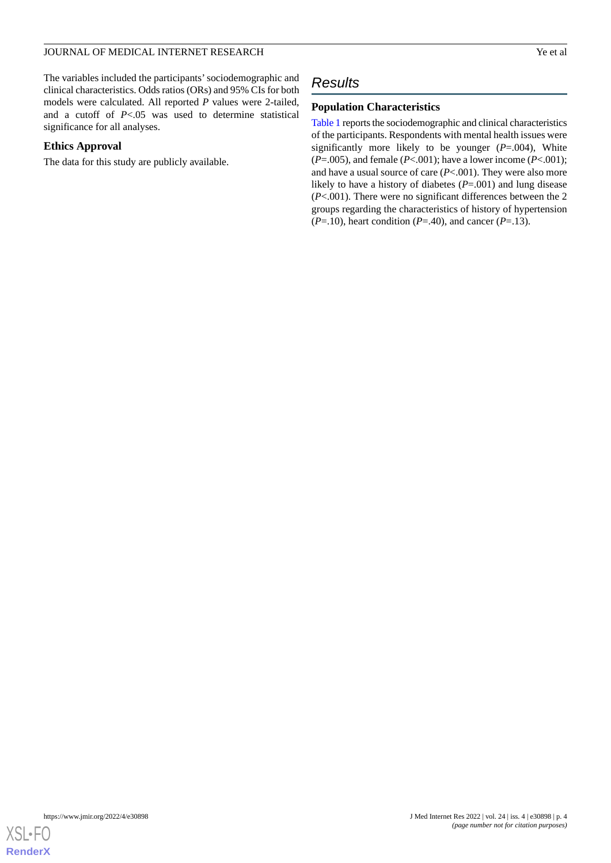The variables included the participants'sociodemographic and clinical characteristics. Odds ratios (ORs) and 95% CIs for both models were calculated. All reported *P* values were 2-tailed, and a cutoff of *P*<.05 was used to determine statistical significance for all analyses.

## **Ethics Approval**

The data for this study are publicly available.

## *Results*

## **Population Characteristics**

[Table 1](#page-4-0) reports the sociodemographic and clinical characteristics of the participants. Respondents with mental health issues were significantly more likely to be younger (*P*=.004), White (*P*=.005), and female (*P*<.001); have a lower income (*P*<.001); and have a usual source of care (*P*<.001). They were also more likely to have a history of diabetes (*P*=.001) and lung disease (*P*<.001). There were no significant differences between the 2 groups regarding the characteristics of history of hypertension  $(P=.10)$ , heart condition  $(P=.40)$ , and cancer  $(P=.13)$ .

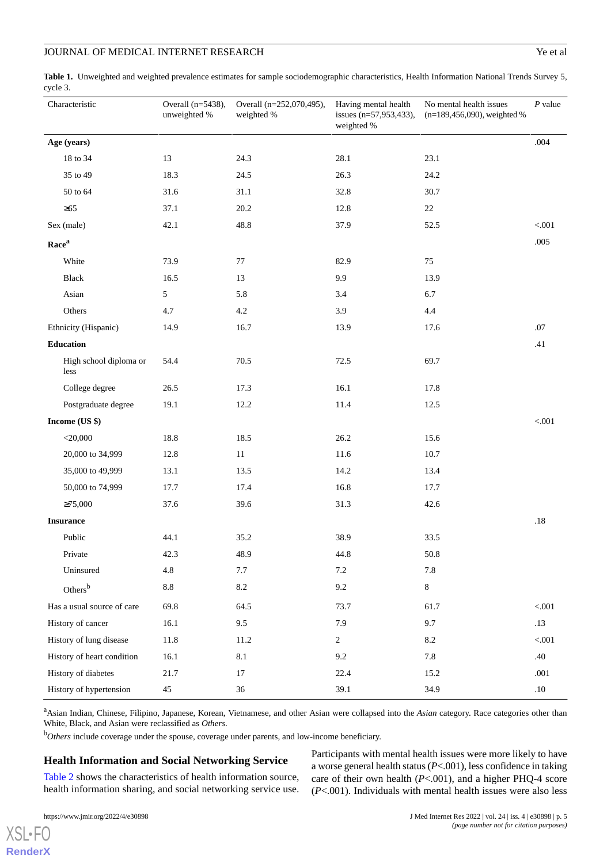<span id="page-4-0"></span>

|          | Table 1. Unweighted and weighted prevalence estimates for sample sociodemographic characteristics, Health Information National Trends Survey 5, |  |
|----------|-------------------------------------------------------------------------------------------------------------------------------------------------|--|
| cycle 3. |                                                                                                                                                 |  |

| Characteristic                 | Overall $(n=5438)$ ,<br>unweighted % | Overall (n=252,070,495),<br>weighted % | Having mental health<br>issues $(n=57,953,433)$ ,<br>weighted % | No mental health issues<br>$(n=189, 456, 090)$ , weighted % | $P$ value |
|--------------------------------|--------------------------------------|----------------------------------------|-----------------------------------------------------------------|-------------------------------------------------------------|-----------|
| Age (years)                    |                                      |                                        |                                                                 |                                                             | .004      |
| 18 to 34                       | 13                                   | 24.3                                   | 28.1                                                            | 23.1                                                        |           |
| 35 to 49                       | 18.3                                 | 24.5                                   | 26.3                                                            | 24.2                                                        |           |
| 50 to 64                       | 31.6                                 | 31.1                                   | 32.8                                                            | 30.7                                                        |           |
| $\geq 65$                      | 37.1                                 | 20.2                                   | 12.8                                                            | 22                                                          |           |
| Sex (male)                     | 42.1                                 | 48.8                                   | 37.9                                                            | 52.5                                                        | < .001    |
| Race <sup>a</sup>              |                                      |                                        |                                                                 |                                                             | $.005$    |
| White                          | 73.9                                 | 77                                     | 82.9                                                            | 75                                                          |           |
| Black                          | 16.5                                 | 13                                     | 9.9                                                             | 13.9                                                        |           |
| Asian                          | 5                                    | 5.8                                    | 3.4                                                             | 6.7                                                         |           |
| Others                         | 4.7                                  | $4.2\,$                                | 3.9                                                             | 4.4                                                         |           |
| Ethnicity (Hispanic)           | 14.9                                 | 16.7                                   | 13.9                                                            | 17.6                                                        | .07       |
| <b>Education</b>               |                                      |                                        |                                                                 |                                                             | .41       |
| High school diploma or<br>less | 54.4                                 | 70.5                                   | 72.5                                                            | 69.7                                                        |           |
| College degree                 | 26.5                                 | 17.3                                   | 16.1                                                            | 17.8                                                        |           |
| Postgraduate degree            | 19.1                                 | 12.2                                   | 11.4                                                            | 12.5                                                        |           |
| Income (US \$)                 |                                      |                                        |                                                                 |                                                             | $< 001$   |
| $<$ 20,000                     | 18.8                                 | 18.5                                   | 26.2                                                            | 15.6                                                        |           |
| 20,000 to 34,999               | 12.8                                 | $11\,$                                 | 11.6                                                            | 10.7                                                        |           |
| 35,000 to 49,999               | 13.1                                 | 13.5                                   | 14.2                                                            | 13.4                                                        |           |
| 50,000 to 74,999               | 17.7                                 | 17.4                                   | 16.8                                                            | 17.7                                                        |           |
| $\geq 75,000$                  | 37.6                                 | 39.6                                   | 31.3                                                            | 42.6                                                        |           |
| <b>Insurance</b>               |                                      |                                        |                                                                 |                                                             | .18       |
| Public                         | 44.1                                 | 35.2                                   | 38.9                                                            | 33.5                                                        |           |
| Private                        | 42.3                                 | 48.9                                   | 44.8                                                            | 50.8                                                        |           |
| Uninsured                      | 4.8                                  | $7.7\,$                                | $7.2\,$                                                         | $7.8\,$                                                     |           |
| Others <sup>b</sup>            | $8.8\,$                              | $8.2\,$                                | 9.2                                                             | $8\,$                                                       |           |
| Has a usual source of care     | 69.8                                 | 64.5                                   | 73.7                                                            | 61.7                                                        | $< 001$   |
| History of cancer              | 16.1                                 | 9.5                                    | 7.9                                                             | 9.7                                                         | .13       |
| History of lung disease        | 11.8                                 | 11.2                                   | $\overline{2}$                                                  | $8.2\,$                                                     | $< 001$   |
| History of heart condition     | 16.1                                 | $8.1\,$                                | 9.2                                                             | 7.8                                                         | .40       |
| History of diabetes            | 21.7                                 | 17                                     | 22.4                                                            | 15.2                                                        | $.001$    |
| History of hypertension        | 45                                   | 36                                     | 39.1                                                            | 34.9                                                        | $.10\,$   |

<sup>a</sup>Asian Indian, Chinese, Filipino, Japanese, Korean, Vietnamese, and other Asian were collapsed into the *Asian* category. Race categories other than White, Black, and Asian were reclassified as *Others*.

<sup>b</sup>*Others* include coverage under the spouse, coverage under parents, and low-income beneficiary.

## **Health Information and Social Networking Service**

[Table 2](#page-5-0) shows the characteristics of health information source, health information sharing, and social networking service use.

Participants with mental health issues were more likely to have a worse general health status (*P*<.001), less confidence in taking care of their own health (*P*<.001), and a higher PHQ-4 score (*P*<.001). Individuals with mental health issues were also less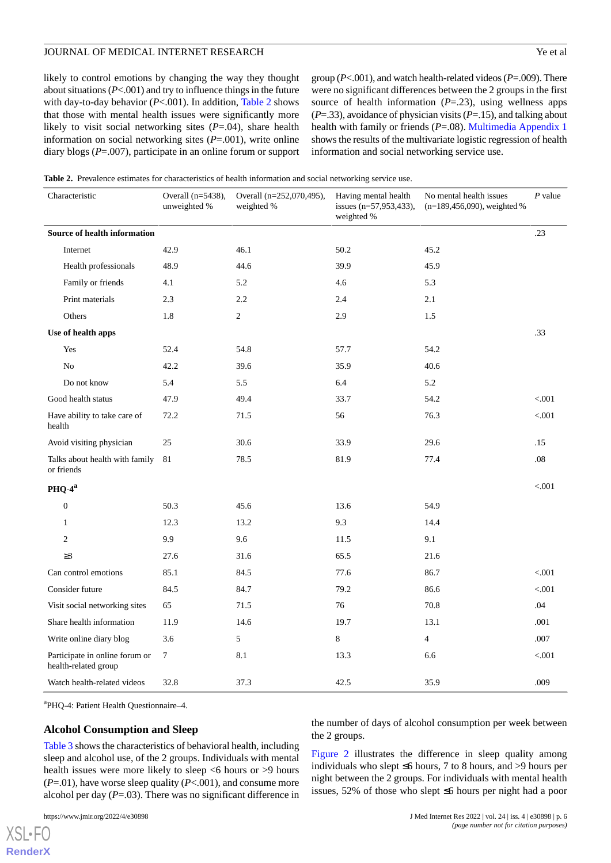likely to control emotions by changing the way they thought about situations (*P*<.001) and try to influence things in the future with day-to-day behavior (*P*<.001). In addition, [Table 2](#page-5-0) shows that those with mental health issues were significantly more likely to visit social networking sites (*P*=.04), share health information on social networking sites (*P*=.001), write online diary blogs (*P*=.007), participate in an online forum or support

group (*P*<.001), and watch health-related videos (*P*=.009). There were no significant differences between the 2 groups in the first source of health information  $(P=23)$ , using wellness apps (*P*=.33), avoidance of physician visits (*P*=.15), and talking about health with family or friends (*P*=.08). [Multimedia Appendix 1](#page-10-11) shows the results of the multivariate logistic regression of health information and social networking service use.

<span id="page-5-0"></span>**Table 2.** Prevalence estimates for characteristics of health information and social networking service use.

| Characteristic                                         | Overall (n=5438),<br>unweighted % | Overall (n=252,070,495),<br>weighted % | Having mental health<br>issues (n=57,953,433),<br>weighted % | No mental health issues<br>(n=189,456,090), weighted % | $P$ value |
|--------------------------------------------------------|-----------------------------------|----------------------------------------|--------------------------------------------------------------|--------------------------------------------------------|-----------|
| Source of health information                           |                                   |                                        |                                                              |                                                        | .23       |
| Internet                                               | 42.9                              | 46.1                                   | 50.2                                                         | 45.2                                                   |           |
| Health professionals                                   | 48.9                              | 44.6                                   | 39.9                                                         | 45.9                                                   |           |
| Family or friends                                      | 4.1                               | 5.2                                    | 4.6                                                          | 5.3                                                    |           |
| Print materials                                        | 2.3                               | 2.2                                    | 2.4                                                          | 2.1                                                    |           |
| Others                                                 | 1.8                               | $\overline{c}$                         | 2.9                                                          | 1.5                                                    |           |
| Use of health apps                                     |                                   |                                        |                                                              |                                                        | .33       |
| Yes                                                    | 52.4                              | 54.8                                   | 57.7                                                         | 54.2                                                   |           |
| N <sub>o</sub>                                         | 42.2                              | 39.6                                   | 35.9                                                         | 40.6                                                   |           |
| Do not know                                            | 5.4                               | 5.5                                    | 6.4                                                          | 5.2                                                    |           |
| Good health status                                     | 47.9                              | 49.4                                   | 33.7                                                         | 54.2                                                   | < 0.001   |
| Have ability to take care of<br>health                 | 72.2                              | 71.5                                   | 56                                                           | 76.3                                                   | < .001    |
| Avoid visiting physician                               | 25                                | 30.6                                   | 33.9                                                         | 29.6                                                   | .15       |
| Talks about health with family<br>or friends           | 81                                | 78.5                                   | 81.9                                                         | 77.4                                                   | .08       |
| $PHQ-4^a$                                              |                                   |                                        |                                                              |                                                        | < .001    |
| $\boldsymbol{0}$                                       | 50.3                              | 45.6                                   | 13.6                                                         | 54.9                                                   |           |
| 1                                                      | 12.3                              | 13.2                                   | 9.3                                                          | 14.4                                                   |           |
| $\mathfrak{2}$                                         | 9.9                               | 9.6                                    | 11.5                                                         | 9.1                                                    |           |
| $\geq$ 3                                               | 27.6                              | 31.6                                   | 65.5                                                         | 21.6                                                   |           |
| Can control emotions                                   | 85.1                              | 84.5                                   | 77.6                                                         | 86.7                                                   | < 0.001   |
| Consider future                                        | 84.5                              | 84.7                                   | 79.2                                                         | 86.6                                                   | < .001    |
| Visit social networking sites                          | 65                                | 71.5                                   | 76                                                           | 70.8                                                   | .04       |
| Share health information                               | 11.9                              | 14.6                                   | 19.7                                                         | 13.1                                                   | .001      |
| Write online diary blog                                | 3.6                               | 5                                      | $\,8$                                                        | $\overline{4}$                                         | .007      |
| Participate in online forum or<br>health-related group | $\boldsymbol{7}$                  | 8.1                                    | 13.3                                                         | 6.6                                                    | < .001    |
| Watch health-related videos                            | 32.8                              | 37.3                                   | 42.5                                                         | 35.9                                                   | .009      |

a PHQ-4: Patient Health Questionnaire–4.

#### **Alcohol Consumption and Sleep**

[Table 3](#page-6-0) shows the characteristics of behavioral health, including sleep and alcohol use, of the 2 groups. Individuals with mental health issues were more likely to sleep <6 hours or >9 hours (*P*=.01), have worse sleep quality (*P*<.001), and consume more alcohol per day (*P*=.03). There was no significant difference in

[XSL](http://www.w3.org/Style/XSL)•FO **[RenderX](http://www.renderx.com/)** the number of days of alcohol consumption per week between the 2 groups.

[Figure 2](#page-7-0) illustrates the difference in sleep quality among individuals who slept ≤6 hours, 7 to 8 hours, and >9 hours per night between the 2 groups. For individuals with mental health issues, 52% of those who slept ≤6 hours per night had a poor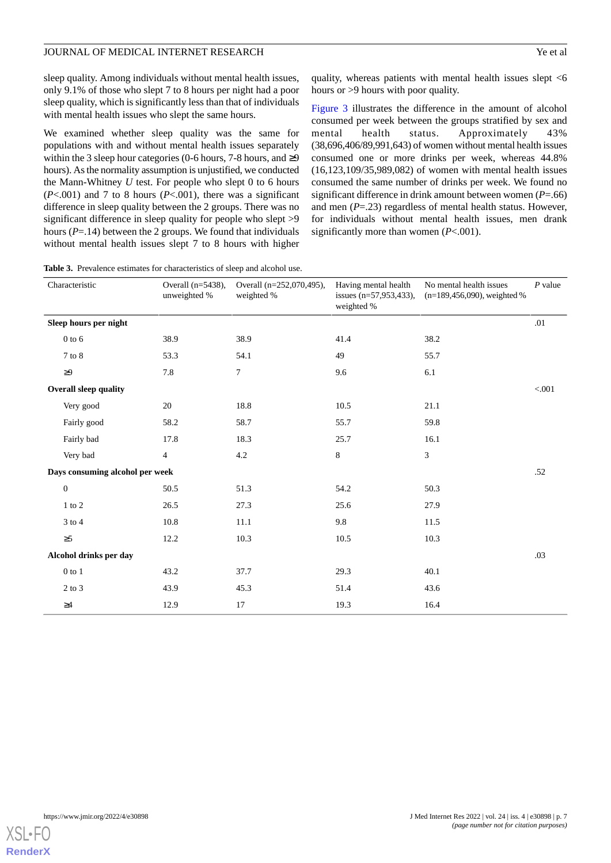sleep quality. Among individuals without mental health issues, only 9.1% of those who slept 7 to 8 hours per night had a poor sleep quality, which is significantly less than that of individuals with mental health issues who slept the same hours.

We examined whether sleep quality was the same for populations with and without mental health issues separately within the 3 sleep hour categories (0-6 hours, 7-8 hours, and  $\geq$ 9 hours). As the normality assumption is unjustified, we conducted the Mann-Whitney *U* test. For people who slept 0 to 6 hours (*P*<.001) and 7 to 8 hours (*P*<.001), there was a significant difference in sleep quality between the 2 groups. There was no significant difference in sleep quality for people who slept >9 hours (*P*=.14) between the 2 groups. We found that individuals without mental health issues slept 7 to 8 hours with higher quality, whereas patients with mental health issues slept <6 hours or >9 hours with poor quality.

[Figure 3](#page-7-1) illustrates the difference in the amount of alcohol consumed per week between the groups stratified by sex and mental health status. Approximately 43% (38,696,406/89,991,643) of women without mental health issues consumed one or more drinks per week, whereas 44.8% (16,123,109/35,989,082) of women with mental health issues consumed the same number of drinks per week. We found no significant difference in drink amount between women (*P*=.66) and men (*P*=.23) regardless of mental health status. However, for individuals without mental health issues, men drank significantly more than women (*P*<.001).

<span id="page-6-0"></span>**Table 3.** Prevalence estimates for characteristics of sleep and alcohol use.

| Characteristic                  |                              | Overall $(n=5438)$ ,<br>unweighted % | Overall (n=252,070,495),<br>weighted % | Having mental health<br>issues (n=57,953,433),<br>weighted % | No mental health issues<br>$(n=189,456,090)$ , weighted % | $P$ value |
|---------------------------------|------------------------------|--------------------------------------|----------------------------------------|--------------------------------------------------------------|-----------------------------------------------------------|-----------|
|                                 | Sleep hours per night        |                                      |                                        |                                                              |                                                           | .01       |
| $0$ to $6$                      |                              | 38.9                                 | 38.9                                   | 41.4                                                         | 38.2                                                      |           |
| 7 to 8                          |                              | 53.3                                 | 54.1                                   | 49                                                           | 55.7                                                      |           |
| $\geq 9$                        |                              | 7.8                                  | $\overline{7}$                         | 9.6                                                          | 6.1                                                       |           |
|                                 | <b>Overall sleep quality</b> |                                      |                                        |                                                              |                                                           | < 0.001   |
| Very good                       |                              | 20                                   | 18.8                                   | 10.5                                                         | 21.1                                                      |           |
|                                 | Fairly good                  | 58.2                                 | 58.7                                   | 55.7                                                         | 59.8                                                      |           |
| Fairly bad                      |                              | 17.8                                 | 18.3                                   | 25.7                                                         | 16.1                                                      |           |
| Very bad                        |                              | $\overline{4}$                       | $4.2\,$                                | 8                                                            | $\mathfrak{Z}$                                            |           |
| Days consuming alcohol per week |                              |                                      |                                        |                                                              |                                                           | .52       |
| $\boldsymbol{0}$                |                              | 50.5                                 | 51.3                                   | 54.2                                                         | 50.3                                                      |           |
| $1$ to $2$                      |                              | 26.5                                 | 27.3                                   | 25.6                                                         | 27.9                                                      |           |
| $3$ to $4$                      |                              | 10.8                                 | 11.1                                   | 9.8                                                          | 11.5                                                      |           |
| $\geq 5$                        |                              | 12.2                                 | 10.3                                   | 10.5                                                         | 10.3                                                      |           |
|                                 | Alcohol drinks per day       |                                      |                                        |                                                              |                                                           | .03       |
| $0$ to $1$                      |                              | 43.2                                 | 37.7                                   | 29.3                                                         | 40.1                                                      |           |
| $2$ to $3$                      |                              | 43.9                                 | 45.3                                   | 51.4                                                         | 43.6                                                      |           |
| $\geq\!\!4$                     |                              | 12.9                                 | 17                                     | 19.3                                                         | 16.4                                                      |           |

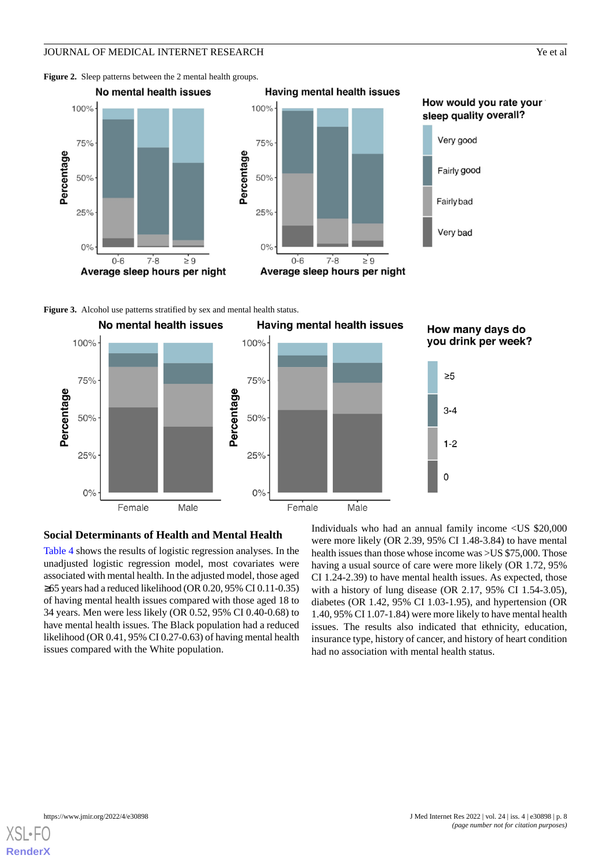<span id="page-7-0"></span>Figure 2. Sleep patterns between the 2 mental health groups.





## How would you rate your sleep quality overall?



<span id="page-7-1"></span>**Figure 3.** Alcohol use patterns stratified by sex and mental health status.



#### **Social Determinants of Health and Mental Health**

[Table 4](#page-8-0) shows the results of logistic regression analyses. In the unadjusted logistic regression model, most covariates were associated with mental health. In the adjusted model, those aged ≥65 years had a reduced likelihood (OR 0.20, 95% CI 0.11-0.35) of having mental health issues compared with those aged 18 to 34 years. Men were less likely (OR 0.52, 95% CI 0.40-0.68) to have mental health issues. The Black population had a reduced likelihood (OR 0.41, 95% CI 0.27-0.63) of having mental health issues compared with the White population.

Individuals who had an annual family income <US \$20,000 were more likely (OR 2.39, 95% CI 1.48-3.84) to have mental health issues than those whose income was >US \$75,000. Those having a usual source of care were more likely (OR 1.72, 95% CI 1.24-2.39) to have mental health issues. As expected, those with a history of lung disease (OR 2.17, 95% CI 1.54-3.05), diabetes (OR 1.42, 95% CI 1.03-1.95), and hypertension (OR 1.40, 95% CI 1.07-1.84) were more likely to have mental health issues. The results also indicated that ethnicity, education, insurance type, history of cancer, and history of heart condition had no association with mental health status.

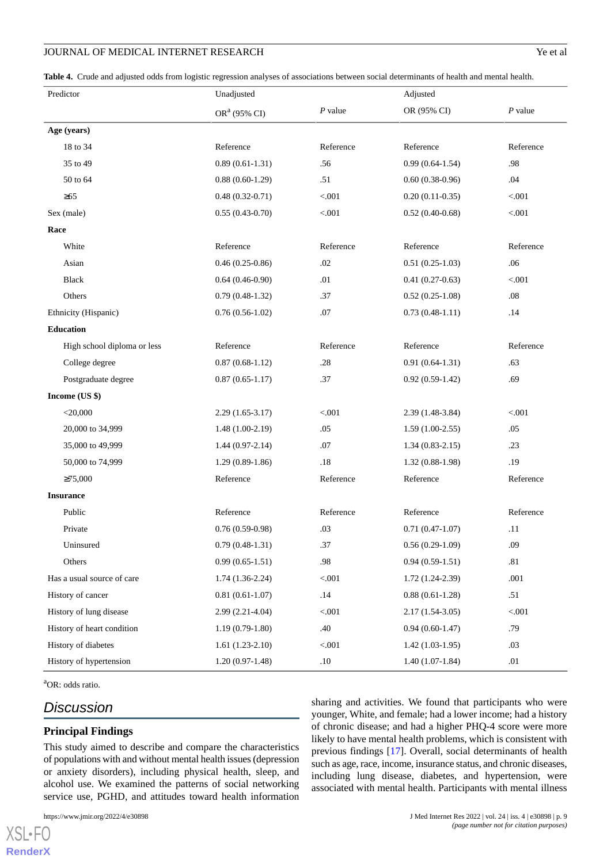<span id="page-8-0"></span>**Table 4.** Crude and adjusted odds from logistic regression analyses of associations between social determinants of health and mental health.

| Predictor                   | Unadjusted               |           |                   | Adjusted  |  |
|-----------------------------|--------------------------|-----------|-------------------|-----------|--|
|                             | OR <sup>a</sup> (95% CI) | $P$ value | OR (95% CI)       | $P$ value |  |
| Age (years)                 |                          |           |                   |           |  |
| 18 to 34                    | Reference                | Reference | Reference         | Reference |  |
| 35 to 49                    | $0.89(0.61-1.31)$        | .56       | $0.99(0.64-1.54)$ | .98       |  |
| 50 to 64                    | $0.88(0.60-1.29)$        | .51       | $0.60(0.38-0.96)$ | .04       |  |
| $\geq 65$                   | $0.48(0.32-0.71)$        | < .001    | $0.20(0.11-0.35)$ | < 0.001   |  |
| Sex (male)                  | $0.55(0.43-0.70)$        | < .001    | $0.52(0.40-0.68)$ | < .001    |  |
| Race                        |                          |           |                   |           |  |
| White                       | Reference                | Reference | Reference         | Reference |  |
| Asian                       | $0.46(0.25-0.86)$        | .02       | $0.51(0.25-1.03)$ | .06       |  |
| <b>Black</b>                | $0.64(0.46-0.90)$        | .01       | $0.41(0.27-0.63)$ | $< 001$   |  |
| Others                      | $0.79(0.48-1.32)$        | .37       | $0.52(0.25-1.08)$ | .08       |  |
| Ethnicity (Hispanic)        | $0.76(0.56-1.02)$        | .07       | $0.73(0.48-1.11)$ | .14       |  |
| <b>Education</b>            |                          |           |                   |           |  |
| High school diploma or less | Reference                | Reference | Reference         | Reference |  |
| College degree              | $0.87(0.68-1.12)$        | .28       | $0.91(0.64-1.31)$ | .63       |  |
| Postgraduate degree         | $0.87(0.65-1.17)$        | .37       | $0.92(0.59-1.42)$ | .69       |  |
| Income (US \$)              |                          |           |                   |           |  |
| $<$ 20,000                  | $2.29(1.65-3.17)$        | < 0.001   | $2.39(1.48-3.84)$ | < .001    |  |
| 20,000 to 34,999            | $1.48(1.00-2.19)$        | .05       | $1.59(1.00-2.55)$ | .05       |  |
| 35,000 to 49,999            | $1.44(0.97-2.14)$        | .07       | $1.34(0.83-2.15)$ | .23       |  |
| 50,000 to 74,999            | $1.29(0.89-1.86)$        | .18       | $1.32(0.88-1.98)$ | .19       |  |
| $\geq 75,000$               | Reference                | Reference | Reference         | Reference |  |
| <b>Insurance</b>            |                          |           |                   |           |  |
| Public                      | Reference                | Reference | Reference         | Reference |  |
| Private                     | $0.76(0.59-0.98)$        | .03       | $0.71(0.47-1.07)$ | .11       |  |
| Uninsured                   | $0.79(0.48-1.31)$        | .37       | $0.56(0.29-1.09)$ | .09       |  |
| Others                      | $0.99(0.65-1.51)$        | .98       | $0.94(0.59-1.51)$ | .81       |  |
| Has a usual source of care  | $1.74(1.36-2.24)$        | $< 001$   | $1.72(1.24-2.39)$ | .001      |  |
| History of cancer           | $0.81(0.61-1.07)$        | .14       | $0.88(0.61-1.28)$ | .51       |  |
| History of lung disease     | $2.99(2.21-4.04)$        | < 0.001   | $2.17(1.54-3.05)$ | $< 001$   |  |
| History of heart condition  | $1.19(0.79-1.80)$        | .40       | $0.94(0.60-1.47)$ | .79       |  |
| History of diabetes         | $1.61(1.23-2.10)$        | < .001    | $1.42(1.03-1.95)$ | .03       |  |
| History of hypertension     | $1.20(0.97-1.48)$        | .10       | $1.40(1.07-1.84)$ | .01       |  |

<sup>a</sup>OR: odds ratio.

[XSL](http://www.w3.org/Style/XSL)•FO **[RenderX](http://www.renderx.com/)**

## *Discussion*

## **Principal Findings**

This study aimed to describe and compare the characteristics of populations with and without mental health issues (depression or anxiety disorders), including physical health, sleep, and alcohol use. We examined the patterns of social networking service use, PGHD, and attitudes toward health information

sharing and activities. We found that participants who were younger, White, and female; had a lower income; had a history of chronic disease; and had a higher PHQ-4 score were more likely to have mental health problems, which is consistent with previous findings [\[17](#page-11-5)]. Overall, social determinants of health such as age, race, income, insurance status, and chronic diseases, including lung disease, diabetes, and hypertension, were associated with mental health. Participants with mental illness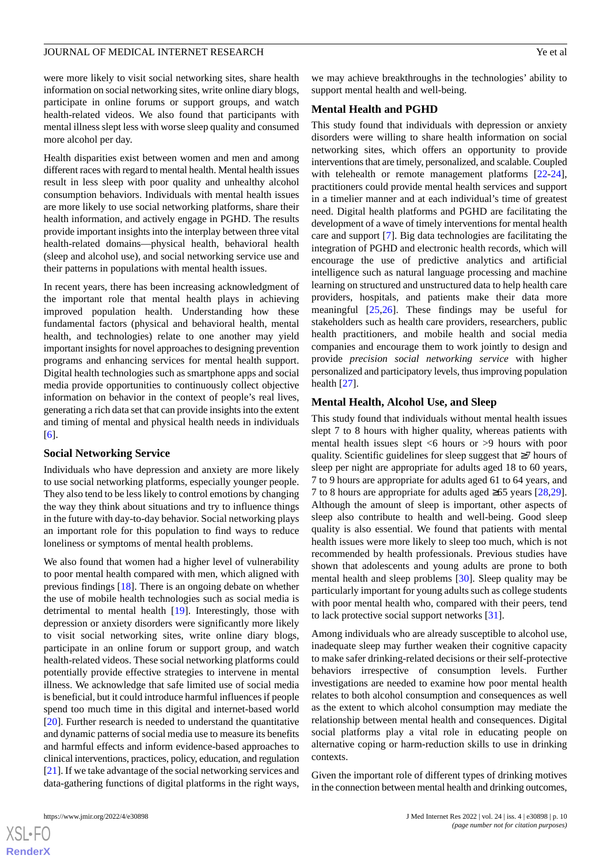were more likely to visit social networking sites, share health information on social networking sites, write online diary blogs, participate in online forums or support groups, and watch health-related videos. We also found that participants with mental illness slept less with worse sleep quality and consumed more alcohol per day.

Health disparities exist between women and men and among different races with regard to mental health. Mental health issues result in less sleep with poor quality and unhealthy alcohol consumption behaviors. Individuals with mental health issues are more likely to use social networking platforms, share their health information, and actively engage in PGHD. The results provide important insights into the interplay between three vital health-related domains—physical health, behavioral health (sleep and alcohol use), and social networking service use and their patterns in populations with mental health issues.

In recent years, there has been increasing acknowledgment of the important role that mental health plays in achieving improved population health. Understanding how these fundamental factors (physical and behavioral health, mental health, and technologies) relate to one another may yield important insights for novel approaches to designing prevention programs and enhancing services for mental health support. Digital health technologies such as smartphone apps and social media provide opportunities to continuously collect objective information on behavior in the context of people's real lives, generating a rich data set that can provide insights into the extent and timing of mental and physical health needs in individuals [[6\]](#page-10-5).

#### **Social Networking Service**

Individuals who have depression and anxiety are more likely to use social networking platforms, especially younger people. They also tend to be less likely to control emotions by changing the way they think about situations and try to influence things in the future with day-to-day behavior. Social networking plays an important role for this population to find ways to reduce loneliness or symptoms of mental health problems.

We also found that women had a higher level of vulnerability to poor mental health compared with men, which aligned with previous findings [[18\]](#page-11-6). There is an ongoing debate on whether the use of mobile health technologies such as social media is detrimental to mental health [\[19](#page-11-7)]. Interestingly, those with depression or anxiety disorders were significantly more likely to visit social networking sites, write online diary blogs, participate in an online forum or support group, and watch health-related videos. These social networking platforms could potentially provide effective strategies to intervene in mental illness. We acknowledge that safe limited use of social media is beneficial, but it could introduce harmful influences if people spend too much time in this digital and internet-based world [[20\]](#page-11-8). Further research is needed to understand the quantitative and dynamic patterns of social media use to measure its benefits and harmful effects and inform evidence-based approaches to clinical interventions, practices, policy, education, and regulation [[21\]](#page-11-9). If we take advantage of the social networking services and data-gathering functions of digital platforms in the right ways,

we may achieve breakthroughs in the technologies' ability to support mental health and well-being.

## **Mental Health and PGHD**

This study found that individuals with depression or anxiety disorders were willing to share health information on social networking sites, which offers an opportunity to provide interventions that are timely, personalized, and scalable. Coupled with telehealth or remote management platforms [[22-](#page-11-10)[24\]](#page-11-11), practitioners could provide mental health services and support in a timelier manner and at each individual's time of greatest need. Digital health platforms and PGHD are facilitating the development of a wave of timely interventions for mental health care and support [\[7](#page-10-6)]. Big data technologies are facilitating the integration of PGHD and electronic health records, which will encourage the use of predictive analytics and artificial intelligence such as natural language processing and machine learning on structured and unstructured data to help health care providers, hospitals, and patients make their data more meaningful  $[25,26]$  $[25,26]$  $[25,26]$ . These findings may be useful for stakeholders such as health care providers, researchers, public health practitioners, and mobile health and social media companies and encourage them to work jointly to design and provide *precision social networking service* with higher personalized and participatory levels, thus improving population health [[27\]](#page-11-14).

#### **Mental Health, Alcohol Use, and Sleep**

This study found that individuals without mental health issues slept 7 to 8 hours with higher quality, whereas patients with mental health issues slept <6 hours or >9 hours with poor quality. Scientific guidelines for sleep suggest that ≥7 hours of sleep per night are appropriate for adults aged 18 to 60 years, 7 to 9 hours are appropriate for adults aged 61 to 64 years, and 7 to 8 hours are appropriate for adults aged ≥65 years [\[28](#page-11-15),[29\]](#page-11-16). Although the amount of sleep is important, other aspects of sleep also contribute to health and well-being. Good sleep quality is also essential. We found that patients with mental health issues were more likely to sleep too much, which is not recommended by health professionals. Previous studies have shown that adolescents and young adults are prone to both mental health and sleep problems [\[30](#page-11-17)]. Sleep quality may be particularly important for young adults such as college students with poor mental health who, compared with their peers, tend to lack protective social support networks [[31\]](#page-11-18).

Among individuals who are already susceptible to alcohol use, inadequate sleep may further weaken their cognitive capacity to make safer drinking-related decisions or their self-protective behaviors irrespective of consumption levels. Further investigations are needed to examine how poor mental health relates to both alcohol consumption and consequences as well as the extent to which alcohol consumption may mediate the relationship between mental health and consequences. Digital social platforms play a vital role in educating people on alternative coping or harm-reduction skills to use in drinking contexts.

Given the important role of different types of drinking motives in the connection between mental health and drinking outcomes,

 $XS$  $\cdot$ FC **[RenderX](http://www.renderx.com/)**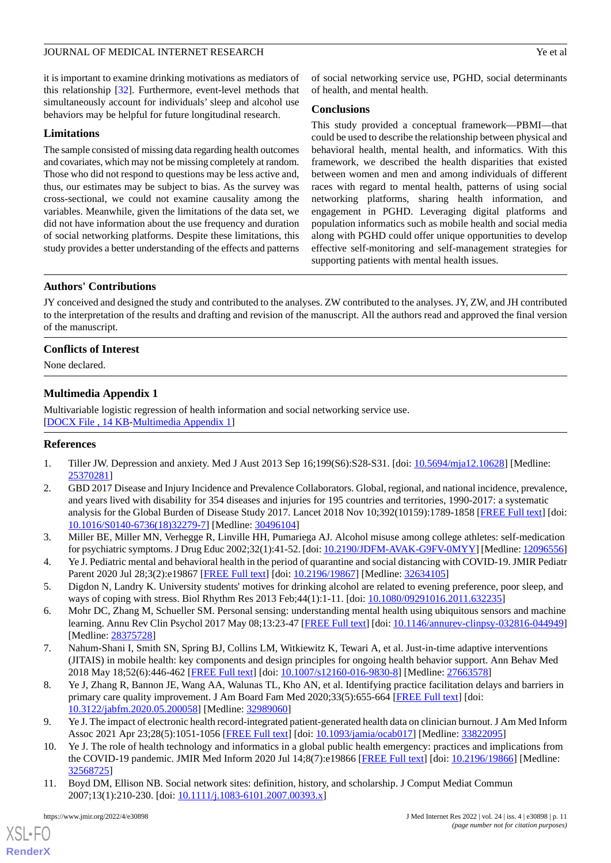it is important to examine drinking motivations as mediators of this relationship [\[32](#page-11-19)]. Furthermore, event-level methods that simultaneously account for individuals' sleep and alcohol use behaviors may be helpful for future longitudinal research.

## **Limitations**

The sample consisted of missing data regarding health outcomes and covariates, which may not be missing completely at random. Those who did not respond to questions may be less active and, thus, our estimates may be subject to bias. As the survey was cross-sectional, we could not examine causality among the variables. Meanwhile, given the limitations of the data set, we did not have information about the use frequency and duration of social networking platforms. Despite these limitations, this study provides a better understanding of the effects and patterns

of social networking service use, PGHD, social determinants of health, and mental health.

## **Conclusions**

This study provided a conceptual framework—PBMI—that could be used to describe the relationship between physical and behavioral health, mental health, and informatics. With this framework, we described the health disparities that existed between women and men and among individuals of different races with regard to mental health, patterns of using social networking platforms, sharing health information, and engagement in PGHD. Leveraging digital platforms and population informatics such as mobile health and social media along with PGHD could offer unique opportunities to develop effective self-monitoring and self-management strategies for supporting patients with mental health issues.

## **Authors' Contributions**

JY conceived and designed the study and contributed to the analyses. ZW contributed to the analyses. JY, ZW, and JH contributed to the interpretation of the results and drafting and revision of the manuscript. All the authors read and approved the final version of the manuscript.

## <span id="page-10-11"></span>**Conflicts of Interest**

None declared.

## **Multimedia Appendix 1**

<span id="page-10-0"></span>Multivariable logistic regression of health information and social networking service use. [[DOCX File , 14 KB](https://jmir.org/api/download?alt_name=jmir_v24i4e30898_app1.docx&filename=a00a3e5711c1eb8dc9da1d8c3903d35d.docx)-[Multimedia Appendix 1\]](https://jmir.org/api/download?alt_name=jmir_v24i4e30898_app1.docx&filename=a00a3e5711c1eb8dc9da1d8c3903d35d.docx)

#### <span id="page-10-1"></span>**References**

- 1. Tiller JW. Depression and anxiety. Med J Aust 2013 Sep 16;199(S6):S28-S31. [doi: [10.5694/mja12.10628\]](http://dx.doi.org/10.5694/mja12.10628) [Medline: [25370281](http://www.ncbi.nlm.nih.gov/entrez/query.fcgi?cmd=Retrieve&db=PubMed&list_uids=25370281&dopt=Abstract)]
- <span id="page-10-3"></span><span id="page-10-2"></span>2. GBD 2017 Disease and Injury Incidence and Prevalence Collaborators. Global, regional, and national incidence, prevalence, and years lived with disability for 354 diseases and injuries for 195 countries and territories, 1990-2017: a systematic analysis for the Global Burden of Disease Study 2017. Lancet 2018 Nov 10;392(10159):1789-1858 [\[FREE Full text](https://linkinghub.elsevier.com/retrieve/pii/S0140-6736(18)32279-7)] [doi: [10.1016/S0140-6736\(18\)32279-7\]](http://dx.doi.org/10.1016/S0140-6736(18)32279-7) [Medline: [30496104](http://www.ncbi.nlm.nih.gov/entrez/query.fcgi?cmd=Retrieve&db=PubMed&list_uids=30496104&dopt=Abstract)]
- <span id="page-10-4"></span>3. Miller BE, Miller MN, Verhegge R, Linville HH, Pumariega AJ. Alcohol misuse among college athletes: self-medication for psychiatric symptoms. J Drug Educ 2002;32(1):41-52. [doi: [10.2190/JDFM-AVAK-G9FV-0MYY\]](http://dx.doi.org/10.2190/JDFM-AVAK-G9FV-0MYY) [Medline: [12096556\]](http://www.ncbi.nlm.nih.gov/entrez/query.fcgi?cmd=Retrieve&db=PubMed&list_uids=12096556&dopt=Abstract)
- <span id="page-10-5"></span>4. Ye J. Pediatric mental and behavioral health in the period of quarantine and social distancing with COVID-19. JMIR Pediatr Parent 2020 Jul 28;3(2):e19867 [[FREE Full text](https://pediatrics.jmir.org/2020/2/e19867/)] [doi: [10.2196/19867](http://dx.doi.org/10.2196/19867)] [Medline: [32634105](http://www.ncbi.nlm.nih.gov/entrez/query.fcgi?cmd=Retrieve&db=PubMed&list_uids=32634105&dopt=Abstract)]
- <span id="page-10-6"></span>5. Digdon N, Landry K. University students' motives for drinking alcohol are related to evening preference, poor sleep, and ways of coping with stress. Biol Rhythm Res 2013 Feb;44(1):1-11. [doi: [10.1080/09291016.2011.632235](http://dx.doi.org/10.1080/09291016.2011.632235)]
- <span id="page-10-7"></span>6. Mohr DC, Zhang M, Schueller SM. Personal sensing: understanding mental health using ubiquitous sensors and machine learning. Annu Rev Clin Psychol 2017 May 08;13:23-47 [[FREE Full text\]](http://europepmc.org/abstract/MED/28375728) [doi: [10.1146/annurev-clinpsy-032816-044949](http://dx.doi.org/10.1146/annurev-clinpsy-032816-044949)] [Medline: [28375728](http://www.ncbi.nlm.nih.gov/entrez/query.fcgi?cmd=Retrieve&db=PubMed&list_uids=28375728&dopt=Abstract)]
- <span id="page-10-8"></span>7. Nahum-Shani I, Smith SN, Spring BJ, Collins LM, Witkiewitz K, Tewari A, et al. Just-in-time adaptive interventions (JITAIS) in mobile health: key components and design principles for ongoing health behavior support. Ann Behav Med 2018 May 18;52(6):446-462 [\[FREE Full text\]](http://europepmc.org/abstract/MED/27663578) [doi: [10.1007/s12160-016-9830-8](http://dx.doi.org/10.1007/s12160-016-9830-8)] [Medline: [27663578\]](http://www.ncbi.nlm.nih.gov/entrez/query.fcgi?cmd=Retrieve&db=PubMed&list_uids=27663578&dopt=Abstract)
- <span id="page-10-9"></span>8. Ye J, Zhang R, Bannon JE, Wang AA, Walunas TL, Kho AN, et al. Identifying practice facilitation delays and barriers in primary care quality improvement. J Am Board Fam Med 2020;33(5):655-664 [\[FREE Full text\]](http://www.jabfm.org/cgi/pmidlookup?view=long&pmid=32989060) [doi: [10.3122/jabfm.2020.05.200058\]](http://dx.doi.org/10.3122/jabfm.2020.05.200058) [Medline: [32989060](http://www.ncbi.nlm.nih.gov/entrez/query.fcgi?cmd=Retrieve&db=PubMed&list_uids=32989060&dopt=Abstract)]
- <span id="page-10-10"></span>9. Ye J. The impact of electronic health record-integrated patient-generated health data on clinician burnout. J Am Med Inform Assoc 2021 Apr 23;28(5):1051-1056 [\[FREE Full text\]](http://europepmc.org/abstract/MED/33822095) [doi: [10.1093/jamia/ocab017](http://dx.doi.org/10.1093/jamia/ocab017)] [Medline: [33822095\]](http://www.ncbi.nlm.nih.gov/entrez/query.fcgi?cmd=Retrieve&db=PubMed&list_uids=33822095&dopt=Abstract)
- 10. Ye J. The role of health technology and informatics in a global public health emergency: practices and implications from the COVID-19 pandemic. JMIR Med Inform 2020 Jul 14;8(7):e19866 [[FREE Full text](https://medinform.jmir.org/2020/7/e19866/)] [doi: [10.2196/19866\]](http://dx.doi.org/10.2196/19866) [Medline: [32568725](http://www.ncbi.nlm.nih.gov/entrez/query.fcgi?cmd=Retrieve&db=PubMed&list_uids=32568725&dopt=Abstract)]
- 11. Boyd DM, Ellison NB. Social network sites: definition, history, and scholarship. J Comput Mediat Commun 2007;13(1):210-230. [doi: [10.1111/j.1083-6101.2007.00393.x\]](http://dx.doi.org/10.1111/j.1083-6101.2007.00393.x)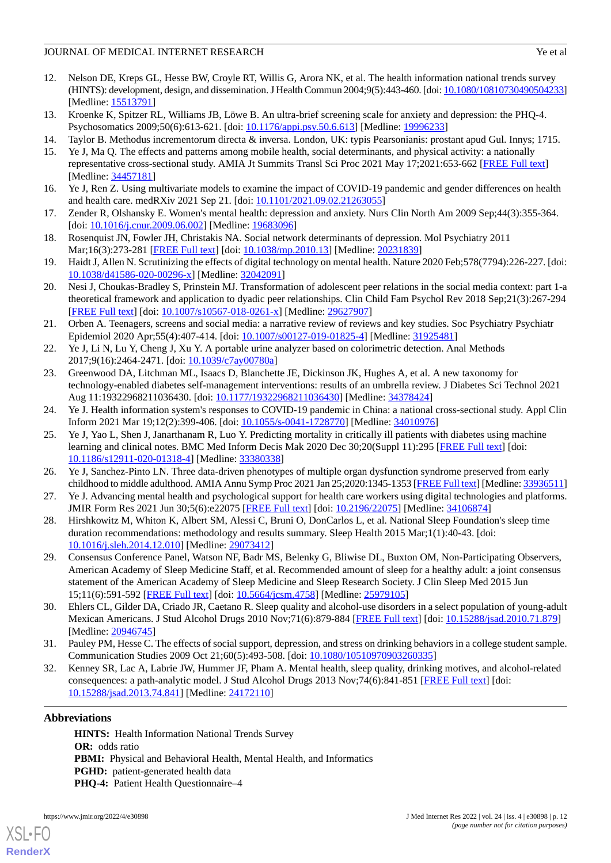- 
- <span id="page-11-0"></span>12. Nelson DE, Kreps GL, Hesse BW, Croyle RT, Willis G, Arora NK, et al. The health information national trends survey (HINTS): development, design, and dissemination. J Health Commun 2004;9(5):443-460. [doi: [10.1080/10810730490504233\]](http://dx.doi.org/10.1080/10810730490504233) [Medline: [15513791](http://www.ncbi.nlm.nih.gov/entrez/query.fcgi?cmd=Retrieve&db=PubMed&list_uids=15513791&dopt=Abstract)]
- <span id="page-11-2"></span><span id="page-11-1"></span>13. Kroenke K, Spitzer RL, Williams JB, Löwe B. An ultra-brief screening scale for anxiety and depression: the PHQ-4. Psychosomatics 2009;50(6):613-621. [doi: [10.1176/appi.psy.50.6.613\]](http://dx.doi.org/10.1176/appi.psy.50.6.613) [Medline: [19996233](http://www.ncbi.nlm.nih.gov/entrez/query.fcgi?cmd=Retrieve&db=PubMed&list_uids=19996233&dopt=Abstract)]
- <span id="page-11-3"></span>14. Taylor B. Methodus incrementorum directa & inversa. London, UK: typis Pearsonianis: prostant apud Gul. Innys; 1715.
- 15. Ye J, Ma Q. The effects and patterns among mobile health, social determinants, and physical activity: a nationally representative cross-sectional study. AMIA Jt Summits Transl Sci Proc 2021 May 17;2021:653-662 [[FREE Full text](http://europepmc.org/abstract/MED/34457181)] [Medline: [34457181](http://www.ncbi.nlm.nih.gov/entrez/query.fcgi?cmd=Retrieve&db=PubMed&list_uids=34457181&dopt=Abstract)]
- <span id="page-11-5"></span><span id="page-11-4"></span>16. Ye J, Ren Z. Using multivariate models to examine the impact of COVID-19 pandemic and gender differences on health and health care. medRXiv 2021 Sep 21. [doi: [10.1101/2021.09.02.21263055](http://dx.doi.org/10.1101/2021.09.02.21263055)]
- <span id="page-11-6"></span>17. Zender R, Olshansky E. Women's mental health: depression and anxiety. Nurs Clin North Am 2009 Sep;44(3):355-364. [doi: [10.1016/j.cnur.2009.06.002](http://dx.doi.org/10.1016/j.cnur.2009.06.002)] [Medline: [19683096\]](http://www.ncbi.nlm.nih.gov/entrez/query.fcgi?cmd=Retrieve&db=PubMed&list_uids=19683096&dopt=Abstract)
- <span id="page-11-7"></span>18. Rosenquist JN, Fowler JH, Christakis NA. Social network determinants of depression. Mol Psychiatry 2011 Mar;16(3):273-281 [[FREE Full text\]](http://europepmc.org/abstract/MED/20231839) [doi: [10.1038/mp.2010.13](http://dx.doi.org/10.1038/mp.2010.13)] [Medline: [20231839](http://www.ncbi.nlm.nih.gov/entrez/query.fcgi?cmd=Retrieve&db=PubMed&list_uids=20231839&dopt=Abstract)]
- <span id="page-11-8"></span>19. Haidt J, Allen N. Scrutinizing the effects of digital technology on mental health. Nature 2020 Feb;578(7794):226-227. [doi: [10.1038/d41586-020-00296-x\]](http://dx.doi.org/10.1038/d41586-020-00296-x) [Medline: [32042091\]](http://www.ncbi.nlm.nih.gov/entrez/query.fcgi?cmd=Retrieve&db=PubMed&list_uids=32042091&dopt=Abstract)
- <span id="page-11-9"></span>20. Nesi J, Choukas-Bradley S, Prinstein MJ. Transformation of adolescent peer relations in the social media context: part 1-a theoretical framework and application to dyadic peer relationships. Clin Child Fam Psychol Rev 2018 Sep;21(3):267-294 [[FREE Full text](http://europepmc.org/abstract/MED/29627907)] [doi: [10.1007/s10567-018-0261-x\]](http://dx.doi.org/10.1007/s10567-018-0261-x) [Medline: [29627907](http://www.ncbi.nlm.nih.gov/entrez/query.fcgi?cmd=Retrieve&db=PubMed&list_uids=29627907&dopt=Abstract)]
- <span id="page-11-10"></span>21. Orben A. Teenagers, screens and social media: a narrative review of reviews and key studies. Soc Psychiatry Psychiatr Epidemiol 2020 Apr;55(4):407-414. [doi: [10.1007/s00127-019-01825-4\]](http://dx.doi.org/10.1007/s00127-019-01825-4) [Medline: [31925481\]](http://www.ncbi.nlm.nih.gov/entrez/query.fcgi?cmd=Retrieve&db=PubMed&list_uids=31925481&dopt=Abstract)
- 22. Ye J, Li N, Lu Y, Cheng J, Xu Y. A portable urine analyzer based on colorimetric detection. Anal Methods 2017;9(16):2464-2471. [doi: [10.1039/c7ay00780a](http://dx.doi.org/10.1039/c7ay00780a)]
- <span id="page-11-11"></span>23. Greenwood DA, Litchman ML, Isaacs D, Blanchette JE, Dickinson JK, Hughes A, et al. A new taxonomy for technology-enabled diabetes self-management interventions: results of an umbrella review. J Diabetes Sci Technol 2021 Aug 11:19322968211036430. [doi: [10.1177/19322968211036430\]](http://dx.doi.org/10.1177/19322968211036430) [Medline: [34378424](http://www.ncbi.nlm.nih.gov/entrez/query.fcgi?cmd=Retrieve&db=PubMed&list_uids=34378424&dopt=Abstract)]
- <span id="page-11-12"></span>24. Ye J. Health information system's responses to COVID-19 pandemic in China: a national cross-sectional study. Appl Clin Inform 2021 Mar 19;12(2):399-406. [doi: [10.1055/s-0041-1728770](http://dx.doi.org/10.1055/s-0041-1728770)] [Medline: [34010976\]](http://www.ncbi.nlm.nih.gov/entrez/query.fcgi?cmd=Retrieve&db=PubMed&list_uids=34010976&dopt=Abstract)
- <span id="page-11-14"></span><span id="page-11-13"></span>25. Ye J, Yao L, Shen J, Janarthanam R, Luo Y. Predicting mortality in critically ill patients with diabetes using machine learning and clinical notes. BMC Med Inform Decis Mak 2020 Dec 30;20(Suppl 11):295 [[FREE Full text](https://bmcmedinformdecismak.biomedcentral.com/articles/10.1186/s12911-020-01318-4)] [doi: [10.1186/s12911-020-01318-4\]](http://dx.doi.org/10.1186/s12911-020-01318-4) [Medline: [33380338\]](http://www.ncbi.nlm.nih.gov/entrez/query.fcgi?cmd=Retrieve&db=PubMed&list_uids=33380338&dopt=Abstract)
- <span id="page-11-15"></span>26. Ye J, Sanchez-Pinto LN. Three data-driven phenotypes of multiple organ dysfunction syndrome preserved from early childhood to middle adulthood. AMIA Annu Symp Proc 2021 Jan 25;2020:1345-1353 [\[FREE Full text](http://europepmc.org/abstract/MED/33936511)] [Medline: [33936511\]](http://www.ncbi.nlm.nih.gov/entrez/query.fcgi?cmd=Retrieve&db=PubMed&list_uids=33936511&dopt=Abstract)
- <span id="page-11-16"></span>27. Ye J. Advancing mental health and psychological support for health care workers using digital technologies and platforms. JMIR Form Res 2021 Jun 30;5(6):e22075 [[FREE Full text](https://formative.jmir.org/2021/6/e22075/)] [doi: [10.2196/22075\]](http://dx.doi.org/10.2196/22075) [Medline: [34106874](http://www.ncbi.nlm.nih.gov/entrez/query.fcgi?cmd=Retrieve&db=PubMed&list_uids=34106874&dopt=Abstract)]
- 28. Hirshkowitz M, Whiton K, Albert SM, Alessi C, Bruni O, DonCarlos L, et al. National Sleep Foundation's sleep time duration recommendations: methodology and results summary. Sleep Health 2015 Mar;1(1):40-43. [doi: [10.1016/j.sleh.2014.12.010\]](http://dx.doi.org/10.1016/j.sleh.2014.12.010) [Medline: [29073412\]](http://www.ncbi.nlm.nih.gov/entrez/query.fcgi?cmd=Retrieve&db=PubMed&list_uids=29073412&dopt=Abstract)
- <span id="page-11-18"></span><span id="page-11-17"></span>29. Consensus Conference Panel, Watson NF, Badr MS, Belenky G, Bliwise DL, Buxton OM, Non-Participating Observers, American Academy of Sleep Medicine Staff, et al. Recommended amount of sleep for a healthy adult: a joint consensus statement of the American Academy of Sleep Medicine and Sleep Research Society. J Clin Sleep Med 2015 Jun 15;11(6):591-592 [[FREE Full text](https://doi.org/10.5664/jcsm.4758)] [doi: [10.5664/jcsm.4758](http://dx.doi.org/10.5664/jcsm.4758)] [Medline: [25979105\]](http://www.ncbi.nlm.nih.gov/entrez/query.fcgi?cmd=Retrieve&db=PubMed&list_uids=25979105&dopt=Abstract)
- <span id="page-11-19"></span>30. Ehlers CL, Gilder DA, Criado JR, Caetano R. Sleep quality and alcohol-use disorders in a select population of young-adult Mexican Americans. J Stud Alcohol Drugs 2010 Nov;71(6):879-884 [\[FREE Full text](http://europepmc.org/abstract/MED/20946745)] [doi: [10.15288/jsad.2010.71.879\]](http://dx.doi.org/10.15288/jsad.2010.71.879) [Medline: [20946745](http://www.ncbi.nlm.nih.gov/entrez/query.fcgi?cmd=Retrieve&db=PubMed&list_uids=20946745&dopt=Abstract)]
- 31. Pauley PM, Hesse C. The effects of social support, depression, and stress on drinking behaviors in a college student sample. Communication Studies 2009 Oct 21;60(5):493-508. [doi: [10.1080/10510970903260335](http://dx.doi.org/10.1080/10510970903260335)]
- 32. Kenney SR, Lac A, Labrie JW, Hummer JF, Pham A. Mental health, sleep quality, drinking motives, and alcohol-related consequences: a path-analytic model. J Stud Alcohol Drugs 2013 Nov;74(6):841-851 [\[FREE Full text\]](http://europepmc.org/abstract/MED/24172110) [doi: [10.15288/jsad.2013.74.841](http://dx.doi.org/10.15288/jsad.2013.74.841)] [Medline: [24172110](http://www.ncbi.nlm.nih.gov/entrez/query.fcgi?cmd=Retrieve&db=PubMed&list_uids=24172110&dopt=Abstract)]

## **Abbreviations**

**HINTS:** Health Information National Trends Survey **OR:** odds ratio **PBMI:** Physical and Behavioral Health, Mental Health, and Informatics **PGHD:** patient-generated health data PHQ-4: Patient Health Questionnaire-4